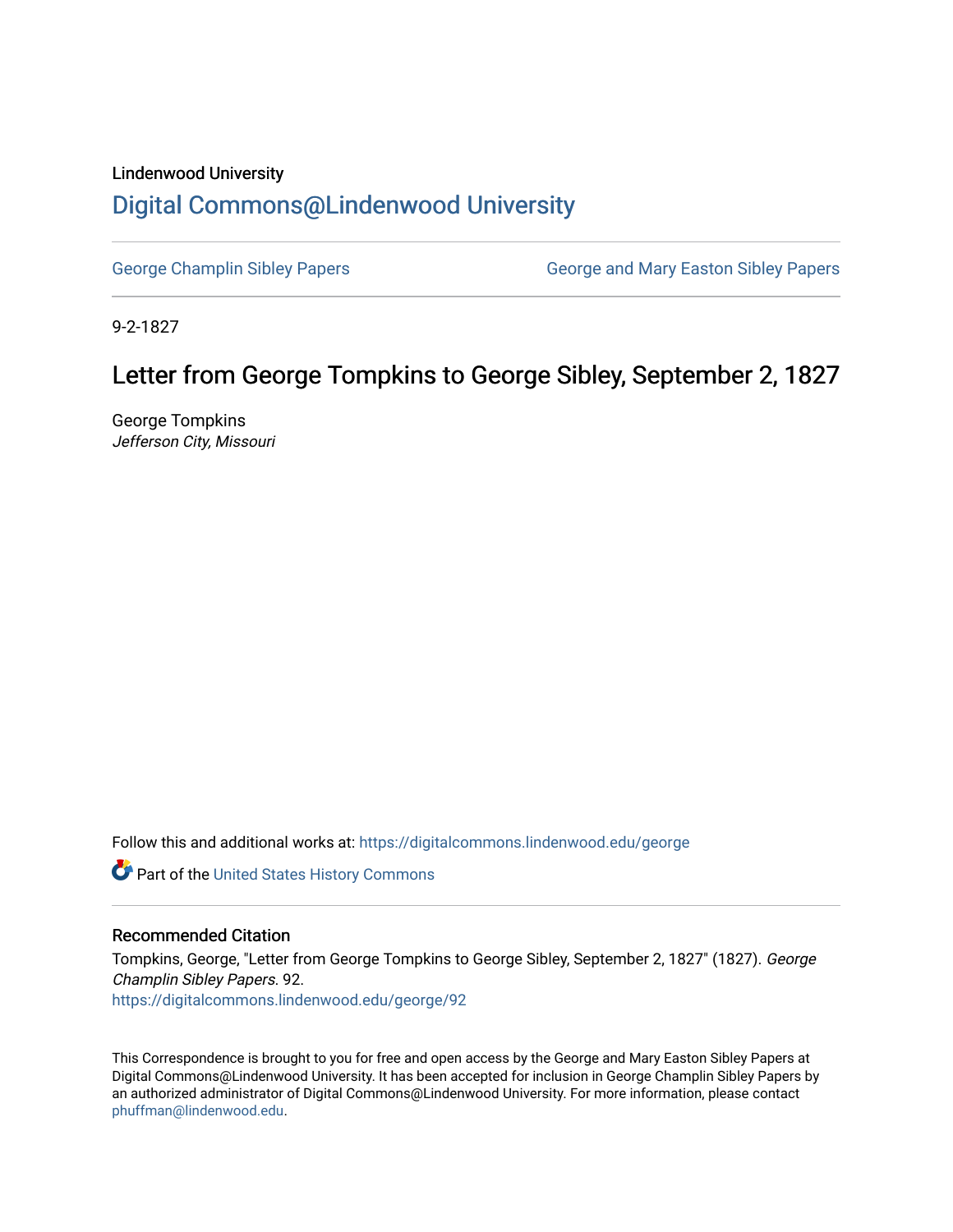## Lindenwood University [Digital Commons@Lindenwood University](https://digitalcommons.lindenwood.edu/)

[George Champlin Sibley Papers](https://digitalcommons.lindenwood.edu/george) George and Mary Easton Sibley Papers

9-2-1827

## Letter from George Tompkins to George Sibley, September 2, 1827

George Tompkins Jefferson City, Missouri

Follow this and additional works at: [https://digitalcommons.lindenwood.edu/george](https://digitalcommons.lindenwood.edu/george?utm_source=digitalcommons.lindenwood.edu%2Fgeorge%2F92&utm_medium=PDF&utm_campaign=PDFCoverPages)

Part of the [United States History Commons](http://network.bepress.com/hgg/discipline/495?utm_source=digitalcommons.lindenwood.edu%2Fgeorge%2F92&utm_medium=PDF&utm_campaign=PDFCoverPages) 

## Recommended Citation

Tompkins, George, "Letter from George Tompkins to George Sibley, September 2, 1827" (1827). George Champlin Sibley Papers. 92. [https://digitalcommons.lindenwood.edu/george/92](https://digitalcommons.lindenwood.edu/george/92?utm_source=digitalcommons.lindenwood.edu%2Fgeorge%2F92&utm_medium=PDF&utm_campaign=PDFCoverPages) 

This Correspondence is brought to you for free and open access by the George and Mary Easton Sibley Papers at Digital Commons@Lindenwood University. It has been accepted for inclusion in George Champlin Sibley Papers by an authorized administrator of Digital Commons@Lindenwood University. For more information, please contact [phuffman@lindenwood.edu](mailto:phuffman@lindenwood.edu).